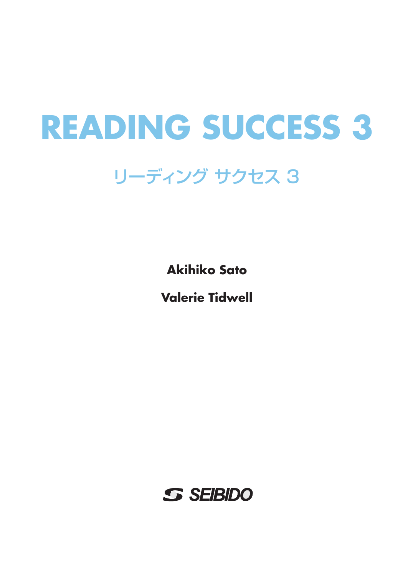## **READING SUCCESS 3**

## リーディング サクセス3

**Akihiko Sato** 

**Valerie Tidwell** 

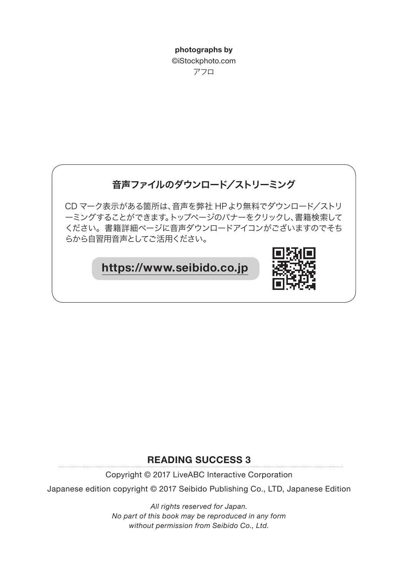photographs by ©iStockphoto.com アフロ



#### **READING SUCCESS 3**

Copyright © 2017 LiveABC Interactive Corporation

Japanese edition copyright © 2017 Seibido Publishing Co., LTD, Japanese Edition

All rights reserved for Japan. No part of this book may be reproduced in any form without permission from Seibido Co., Ltd.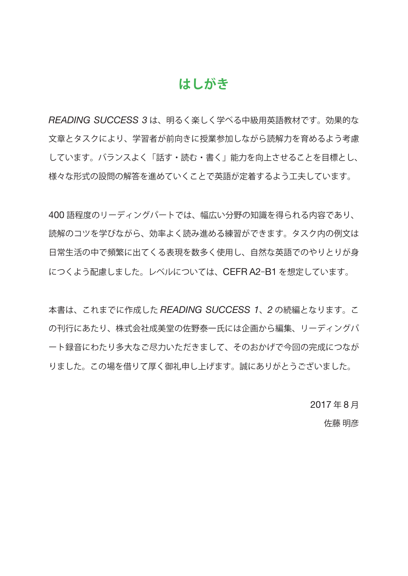#### はしがき

READING SUCCESS 3は、明るく楽しく学べる中級用英語教材です。効果的な 文章とタスクにより、学習者が前向きに授業参加しながら読解力を育めるよう考慮 しています。バランスよく「話す・読む・書く」能力を向上させることを目標とし、 様々な形式の設問の解答を進めていくことで英語が定着するよう工夫しています。

400語程度のリーディングパートでは、幅広い分野の知識を得られる内容であり、 読解のコツを学びながら、効率よく読み進める練習ができます。タスク内の例文は 日常牛活の中で頻繁に出てくる表現を数多く使用し、自然な英語でのやりとりが身 につくよう配慮しました。レベルについては、CEFRA2-B1を想定しています。

本書は、これまでに作成した READING SUCCESS 1、2の続編となります。こ の刊行にあたり、株式会社成美堂の佐野泰一氏には企画から編集、リーディングパ ート録音にわたり多大なご尽力いただきまして、そのおかげで今回の完成につなが りました。この場を借りて厚く御礼申し上げます。誠にありがとうございました。

> 2017年8月 佐藤 明彦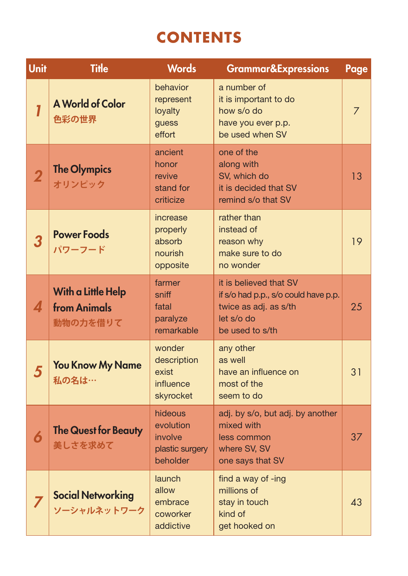### **CONTENTS**

| <b>Unit</b> | <b>Title</b>                                          | <b>Words</b>                                                   | <b>Grammar&amp;Expressions</b>                                                                                           | Page           |
|-------------|-------------------------------------------------------|----------------------------------------------------------------|--------------------------------------------------------------------------------------------------------------------------|----------------|
|             | <b>A World of Color</b><br>色彩の世界                      | behavior<br>represent<br>loyalty<br>guess<br>effort            | a number of<br>it is important to do<br>how s/o do<br>have you ever p.p.<br>be used when SV                              | $\overline{7}$ |
| 2           | <b>The Olympics</b><br>オリンピック                         | ancient<br>honor<br>revive<br>stand for<br>criticize           | one of the<br>along with<br>SV, which do<br>it is decided that SV<br>remind s/o that SV                                  | 13             |
| 3           | <b>Power Foods</b><br>パワーフード                          | increase<br>properly<br>absorb<br>nourish<br>opposite          | rather than<br>instead of<br>reason why<br>make sure to do<br>no wonder                                                  | 19             |
| 4           | With a Little Help<br><b>from Animals</b><br>動物の力を借りて | farmer<br>sniff<br>fatal<br>paralyze<br>remarkable             | it is believed that SV<br>if s/o had p.p., s/o could have p.p.<br>twice as adj. as s/th<br>let s/o do<br>be used to s/th | 25             |
| 5           | <b>You Know My Name</b><br>私の名は…                      | wonder<br>description<br>exist<br>influence<br>skyrocket       | any other<br>as well<br>have an influence on<br>most of the<br>seem to do                                                | 31             |
| 6           | <b>The Quest for Beauty</b><br>美しさを求めて                | hideous<br>evolution<br>involve<br>plastic surgery<br>beholder | adj. by s/o, but adj. by another<br>mixed with<br>less common<br>where SV, SV<br>one says that SV                        | 37             |
|             | <b>Social Networking</b><br>ソーシャルネットワーク               | launch<br>allow<br>embrace<br>coworker<br>addictive            | find a way of -ing<br>millions of<br>stay in touch<br>kind of<br>get hooked on                                           | 43             |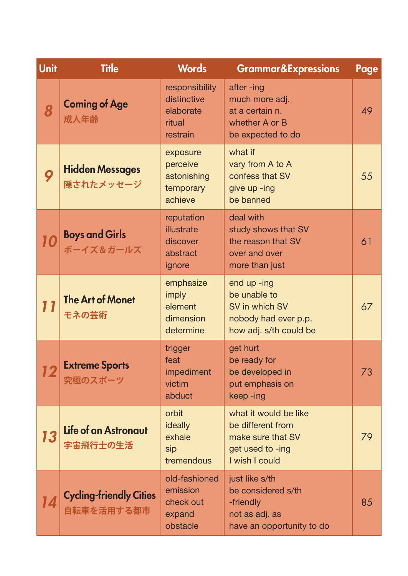| Unit | <b>Title</b>                                 | <b>Words</b>                                                     | <b>Grammar&amp;Expressions</b>                                                                        | Page |
|------|----------------------------------------------|------------------------------------------------------------------|-------------------------------------------------------------------------------------------------------|------|
| 8    | <b>Coming of Age</b><br>成人年齢                 | responsibility<br>distinctive<br>elaborate<br>ritual<br>restrain | after-ing<br>much more adj.<br>at a certain n.<br>whether A or B<br>be expected to do                 | 49   |
| 9    | <b>Hidden Messages</b><br>隠されたメッセージ          | exposure<br>perceive<br>astonishing<br>temporary<br>achieve      | what if<br>vary from A to A<br>confess that SV<br>give up -ing<br>be banned                           | 55   |
|      | <b>Boys and Girls</b><br>ボーイズ&ガールズ           | reputation<br>illustrate<br>discover<br>abstract<br>ignore       | deal with<br>study shows that SV<br>the reason that SV<br>over and over<br>more than just             | 61   |
| 11   | <b>The Art of Monet</b><br>モネの芸術             | emphasize<br>imply<br>element<br>dimension<br>determine          | end up -ing<br>be unable to<br>SV in which SV<br>nobody had ever p.p.<br>how adj. s/th could be       | 67   |
| 12   | <b>Extreme Sports</b><br>究極のスポーツ             | trigger<br>feat<br>impediment<br>victim<br>abduct                | get hurt<br>be ready for<br>be developed in<br>put emphasis on<br>keep-ing                            | 73   |
| 13   | Life of an Astronaut<br>宇宙飛行士の生活             | orbit<br><b>ideally</b><br>exhale<br>sip<br>tremendous           | what it would be like<br>be different from<br>make sure that SV<br>get used to -ing<br>I wish I could | 79   |
|      | <b>Cycling-friendly Cities</b><br>自転車を活用する都市 | old-fashioned<br>emission<br>check out<br>expand<br>obstacle     | just like s/th<br>be considered s/th<br>-friendly<br>not as adj. as<br>have an opportunity to do      | 85   |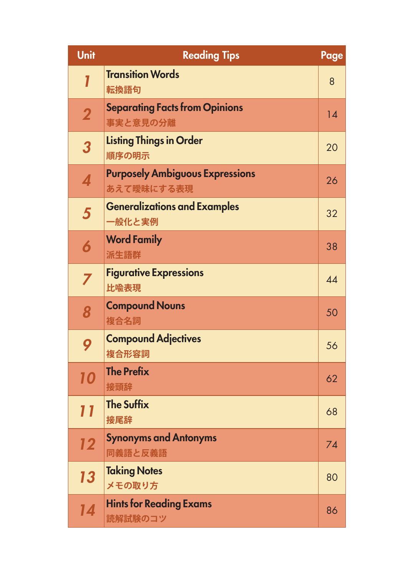| <b>Unit</b>             | <b>Reading Tips</b>                                  | Page |
|-------------------------|------------------------------------------------------|------|
|                         | <b>Transition Words</b><br>転換語句                      | 8    |
| $\overline{\mathbf{2}}$ | <b>Separating Facts from Opinions</b><br>事実と意見の分離    | 14   |
| 3                       | <b>Listing Things in Order</b><br>順序の明示              | 20   |
| 4                       | <b>Purposely Ambiguous Expressions</b><br>あえて曖昧にする表現 | 26   |
| 5                       | <b>Generalizations and Examples</b><br>一般化と実例        | 32   |
| 6                       | <b>Word Family</b><br>派生語群                           | 38   |
| 7                       | <b>Figurative Expressions</b><br>比喻表現                | 44   |
| 8                       | <b>Compound Nouns</b><br>複合名詞                        | 50   |
| 9                       | <b>Compound Adjectives</b><br>複合形容詞                  | 56   |
| 10                      | <b>The Prefix</b><br>接頭辞                             | 62   |
|                         | <b>The Suffix</b><br>接尾辞                             | 68   |
| 12                      | <b>Synonyms and Antonyms</b><br>同義語と反義語              | 74   |
| 13                      | <b>Taking Notes</b><br>メモの取り方                        | 80   |
| 14                      | <b>Hints for Reading Exams</b><br>読解試験のコツ            | 86   |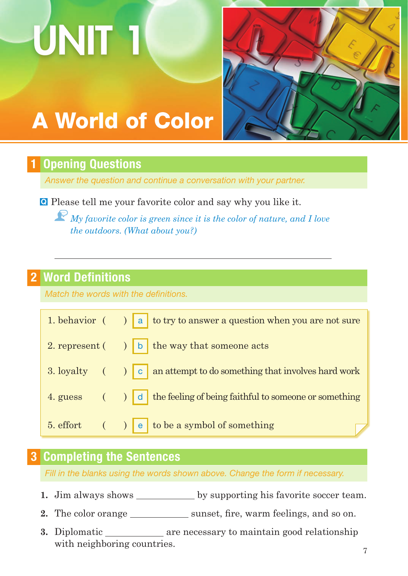# UNIT 1



## **A World of Color**

#### **Opening Questions**

Answer the question and continue a conversation with your partner.

**Q** Please tell me your favorite color and say why you like it.

 $\widehat{\mathbf{F}}$  My favorite color is green since it is the color of nature, and I love the outdoors. (What about you?)

#### **2 Word Definitions**

Match the words with the definitions.

|  | 1. behavior $($ $)$ a to try to answer a question when you are not sure                             |
|--|-----------------------------------------------------------------------------------------------------|
|  | 2. represent $($ $)$ $ $ b $ $ the way that someone acts                                            |
|  | 3. loyalty $\left( \n\right)$ $\left  c \right $ an attempt to do something that involves hard work |
|  | 4. guess $($ $)$ $ $ d $ $ the feeling of being faithful to someone or something                    |
|  | 5. effort $($ $)$ $e$ to be a symbol of something                                                   |

#### **3 Completing the Sentences**

Fill in the blanks using the words shown above. Change the form if necessary.

- 
- 2. The color orange sunset, fire, warm feelings, and so on.
- 3. Diplomatic \_\_\_\_\_\_\_\_\_\_\_\_\_ are necessary to maintain good relationship with neighboring countries.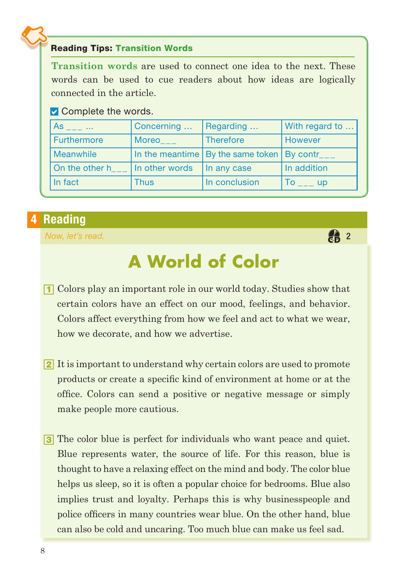#### **Reading Tips: Transition Words**

**Transition words are used to connect one idea to the next. These** words can be used to cue readers about how ideas are logically connected in the article.

#### $\triangleright$  Complete the words.

| As                 | Concerning     | Regarding                                         | With regard to  |  |
|--------------------|----------------|---------------------------------------------------|-----------------|--|
| <b>Furthermore</b> | Moreo          | Therefore                                         | However         |  |
| Meanwhile          |                | In the meantime   By the same token   By contr___ |                 |  |
| On the other h     | In other words | In any case                                       | In addition     |  |
| In fact            | <b>Thus</b>    | In conclusion                                     | Tο<br><b>up</b> |  |

#### 4 Reading

Now, let's read.

## **A World of Color**

 $\frac{2}{60}$  2

- 1 Colors play an important role in our world today. Studies show that certain colors have an effect on our mood, feelings, and behavior. Colors affect everything from how we feel and act to what we wear. how we decorate, and how we advertise.
- 2 It is important to understand why certain colors are used to promote products or create a specific kind of environment at home or at the office. Colors can send a positive or negative message or simply make people more cautious.
- 3 The color blue is perfect for individuals who want peace and quiet. Blue represents water, the source of life. For this reason, blue is thought to have a relaxing effect on the mind and body. The color blue helps us sleep, so it is often a popular choice for bedrooms. Blue also implies trust and loyalty. Perhaps this is why businesspeople and police officers in many countries wear blue. On the other hand, blue can also be cold and uncaring. Too much blue can make us feel sad.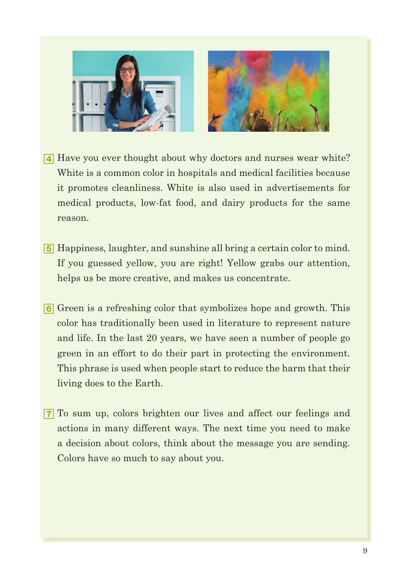



- **4** Have you ever thought about why doctors and nurses wear white? White is a common color in hospitals and medical facilities because it promotes cleanliness. White is also used in advertisements for medical products, low-fat food, and dairy products for the same reason.
- **5** Happiness, laughter, and sunshine all bring a certain color to mind. If you guessed yellow, you are right! Yellow grabs our attention, helps us be more creative, and makes us concentrate.
- **6** Green is a refreshing color that symbolizes hope and growth. This color has traditionally been used in literature to represent nature and life. In the last 20 years, we have seen a number of people go green in an effort to do their part in protecting the environment. This phrase is used when people start to reduce the harm that their living does to the Earth.
- 7 To sum up, colors brighten our lives and affect our feelings and actions in many different ways. The next time you need to make a decision about colors, think about the message you are sending. Colors have so much to say about you.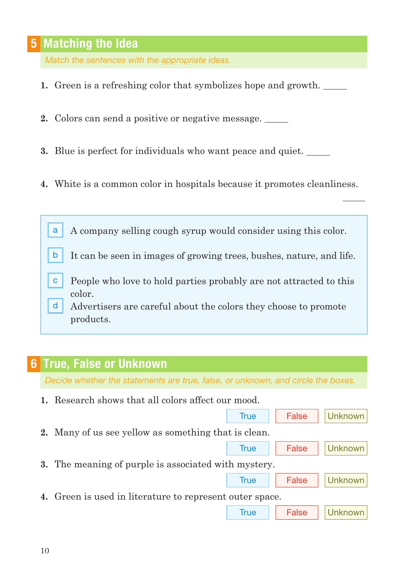#### **5** Matching the Idea

Match the sentences with the appropriate ideas.

- 1. Green is a refreshing color that symbolizes hope and growth.
- 2. Colors can send a positive or negative message.
- 3. Blue is perfect for individuals who want peace and quiet.
- 4. White is a common color in hospitals because it promotes cleanliness.

- It can be seen in images of growing trees, bushes, nature, and life. b
- People who love to hold parties probably are not attracted to this  $\mathbf{C}$ color.
- $\mathsf{d}$ Advertisers are careful about the colors they choose to promote products.

#### **6 True, False or Unknown**

Decide whether the statements are true, false, or unknown, and circle the boxes.

| 1. Research shows that all colors affect our mood.          |             |       |                |  |
|-------------------------------------------------------------|-------------|-------|----------------|--|
|                                                             | <b>True</b> | False | Unknown        |  |
| 2. Many of us see yellow as something that is clean.        |             |       |                |  |
|                                                             | True        | False | Unknown        |  |
| <b>3.</b> The meaning of purple is associated with mystery. |             |       |                |  |
|                                                             | <b>True</b> | False | <b>Unknown</b> |  |
| 4. Green is used in literature to represent outer space.    |             |       |                |  |
|                                                             | True        | False |                |  |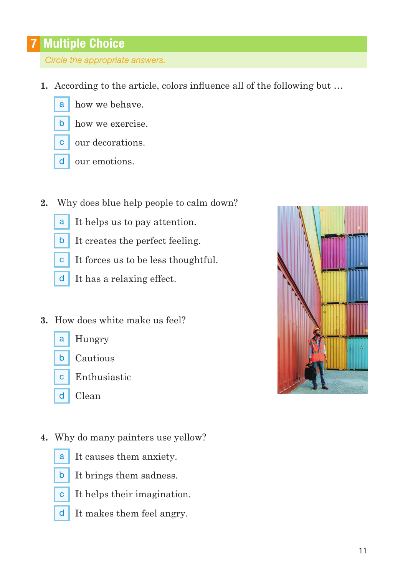#### **7 Multiple Choice**

Circle the appropriate answers.

- 1. According to the article, colors influence all of the following but ...
	- how we behave. a
	- how we exercise.  $\mathsf{b}$
	- c | our decorations.
	- $d$  our emotions.
- Why does blue help people to calm down?  $2.$ 
	- It helps us to pay attention. a
	- It creates the perfect feeling.  $\mathsf{b}$
	- It forces us to be less thoughtful.  $\mathbf{C}$
	- $\mathsf{d}$ It has a relaxing effect.
- 3. How does white make us feel?
	- Hungry a
	- Cautious  $b$
	- Enthusiastic  $\overline{c}$
	- $\mathsf{d}$ Clean
- 4. Why do many painters use yellow?
	- a
- It causes them anxiety.
	- $\mathsf{b}$ It brings them sadness.
	- $\mathbf{C}$ It helps their imagination.
	- $\mathsf{d}$ It makes them feel angry.